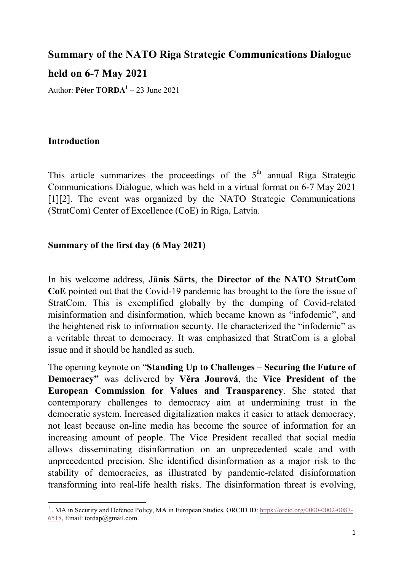# Summary of the NATO Riga Strategic Communications Dialogue

held on 6-7 May 2021

Author: Péter  $TORDA<sup>1</sup> - 23$  June 2021

## Introduction

This article summarizes the proceedings of the  $5<sup>th</sup>$  annual Riga Strategic Communications Dialogue, which was held in a virtual format on 6-7 May 2021 [1][2]. The event was organized by the NATO Strategic Communications (StratCom) Center of Excellence (CoE) in Riga, Latvia.

## Summary of the first day (6 May 2021)

In his welcome address, Jānis Sārts, the Director of the NATO StratCom CoE pointed out that the Covid-19 pandemic has brought to the fore the issue of StratCom. This is exemplified globally by the dumping of Covid-related misinformation and disinformation, which became known as "infodemic", and the heightened risk to information security. He characterized the "infodemic" as a veritable threat to democracy. It was emphasized that StratCom is a global issue and it should be handled as such.

The opening keynote on "Standing Up to Challenges – Securing the Future of Democracy" was delivered by Věra Jourová, the Vice President of the European Commission for Values and Transparency. She stated that contemporary challenges to democracy aim at undermining trust in the democratic system. Increased digitalization makes it easier to attack democracy, not least because on-line media has become the source of information for an increasing amount of people. The Vice President recalled that social media allows disseminating disinformation on an unprecedented scale and with unprecedented precision. She identified disinformation as a major risk to the stability of democracies, as illustrated by pandemic-related disinformation transforming into real-life health risks. The disinformation threat is evolving,

 <sup>1</sup>, MA in Security and Defence Policy, MA in European Studies, ORCID ID: https://orcid.org/0000-0002-0087-6518, Email: tordap@gmail.com.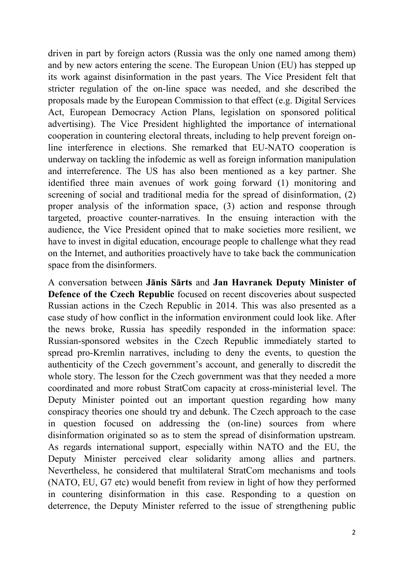driven in part by foreign actors (Russia was the only one named among them) and by new actors entering the scene. The European Union (EU) has stepped up its work against disinformation in the past years. The Vice President felt that stricter regulation of the on-line space was needed, and she described the proposals made by the European Commission to that effect (e.g. Digital Services Act, European Democracy Action Plans, legislation on sponsored political advertising). The Vice President highlighted the importance of international cooperation in countering electoral threats, including to help prevent foreign online interference in elections. She remarked that EU-NATO cooperation is underway on tackling the infodemic as well as foreign information manipulation and interreference. The US has also been mentioned as a key partner. She identified three main avenues of work going forward (1) monitoring and screening of social and traditional media for the spread of disinformation, (2) proper analysis of the information space, (3) action and response through targeted, proactive counter-narratives. In the ensuing interaction with the audience, the Vice President opined that to make societies more resilient, we have to invest in digital education, encourage people to challenge what they read on the Internet, and authorities proactively have to take back the communication space from the disinformers.

A conversation between Jānis Sārts and Jan Havranek Deputy Minister of Defence of the Czech Republic focused on recent discoveries about suspected Russian actions in the Czech Republic in 2014. This was also presented as a case study of how conflict in the information environment could look like. After the news broke, Russia has speedily responded in the information space: Russian-sponsored websites in the Czech Republic immediately started to spread pro-Kremlin narratives, including to deny the events, to question the authenticity of the Czech government's account, and generally to discredit the whole story. The lesson for the Czech government was that they needed a more coordinated and more robust StratCom capacity at cross-ministerial level. The Deputy Minister pointed out an important question regarding how many conspiracy theories one should try and debunk. The Czech approach to the case in question focused on addressing the (on-line) sources from where disinformation originated so as to stem the spread of disinformation upstream. As regards international support, especially within NATO and the EU, the Deputy Minister perceived clear solidarity among allies and partners. Nevertheless, he considered that multilateral StratCom mechanisms and tools (NATO, EU, G7 etc) would benefit from review in light of how they performed in countering disinformation in this case. Responding to a question on deterrence, the Deputy Minister referred to the issue of strengthening public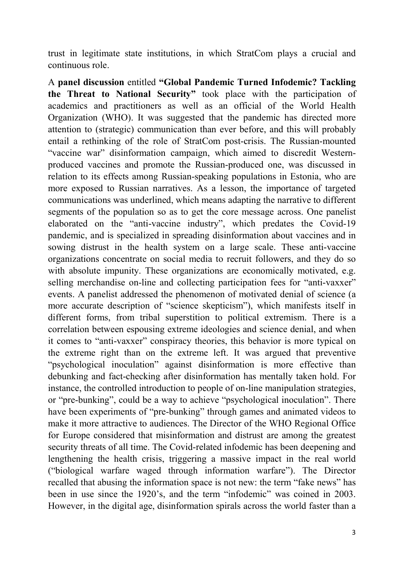trust in legitimate state institutions, in which StratCom plays a crucial and continuous role.

A panel discussion entitled "Global Pandemic Turned Infodemic? Tackling the Threat to National Security" took place with the participation of academics and practitioners as well as an official of the World Health Organization (WHO). It was suggested that the pandemic has directed more attention to (strategic) communication than ever before, and this will probably entail a rethinking of the role of StratCom post-crisis. The Russian-mounted "vaccine war" disinformation campaign, which aimed to discredit Westernproduced vaccines and promote the Russian-produced one, was discussed in relation to its effects among Russian-speaking populations in Estonia, who are more exposed to Russian narratives. As a lesson, the importance of targeted communications was underlined, which means adapting the narrative to different segments of the population so as to get the core message across. One panelist elaborated on the "anti-vaccine industry", which predates the Covid-19 pandemic, and is specialized in spreading disinformation about vaccines and in sowing distrust in the health system on a large scale. These anti-vaccine organizations concentrate on social media to recruit followers, and they do so with absolute impunity. These organizations are economically motivated, e.g. selling merchandise on-line and collecting participation fees for "anti-vaxxer" events. A panelist addressed the phenomenon of motivated denial of science (a more accurate description of "science skepticism"), which manifests itself in different forms, from tribal superstition to political extremism. There is a correlation between espousing extreme ideologies and science denial, and when it comes to "anti-vaxxer" conspiracy theories, this behavior is more typical on the extreme right than on the extreme left. It was argued that preventive "psychological inoculation" against disinformation is more effective than debunking and fact-checking after disinformation has mentally taken hold. For instance, the controlled introduction to people of on-line manipulation strategies, or "pre-bunking", could be a way to achieve "psychological inoculation". There have been experiments of "pre-bunking" through games and animated videos to make it more attractive to audiences. The Director of the WHO Regional Office for Europe considered that misinformation and distrust are among the greatest security threats of all time. The Covid-related infodemic has been deepening and lengthening the health crisis, triggering a massive impact in the real world ("biological warfare waged through information warfare"). The Director recalled that abusing the information space is not new: the term "fake news" has been in use since the 1920's, and the term "infodemic" was coined in 2003. However, in the digital age, disinformation spirals across the world faster than a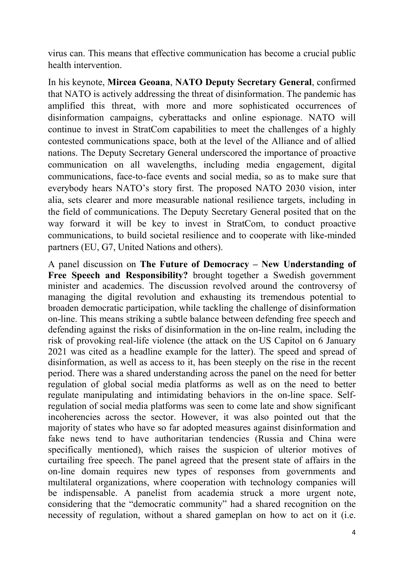virus can. This means that effective communication has become a crucial public health intervention.

In his keynote, Mircea Geoana, NATO Deputy Secretary General, confirmed that NATO is actively addressing the threat of disinformation. The pandemic has amplified this threat, with more and more sophisticated occurrences of disinformation campaigns, cyberattacks and online espionage. NATO will continue to invest in StratCom capabilities to meet the challenges of a highly contested communications space, both at the level of the Alliance and of allied nations. The Deputy Secretary General underscored the importance of proactive communication on all wavelengths, including media engagement, digital communications, face-to-face events and social media, so as to make sure that everybody hears NATO's story first. The proposed NATO 2030 vision, inter alia, sets clearer and more measurable national resilience targets, including in the field of communications. The Deputy Secretary General posited that on the way forward it will be key to invest in StratCom, to conduct proactive communications, to build societal resilience and to cooperate with like-minded partners (EU, G7, United Nations and others).

A panel discussion on The Future of Democracy – New Understanding of Free Speech and Responsibility? brought together a Swedish government minister and academics. The discussion revolved around the controversy of managing the digital revolution and exhausting its tremendous potential to broaden democratic participation, while tackling the challenge of disinformation on-line. This means striking a subtle balance between defending free speech and defending against the risks of disinformation in the on-line realm, including the risk of provoking real-life violence (the attack on the US Capitol on 6 January 2021 was cited as a headline example for the latter). The speed and spread of disinformation, as well as access to it, has been steeply on the rise in the recent period. There was a shared understanding across the panel on the need for better regulation of global social media platforms as well as on the need to better regulate manipulating and intimidating behaviors in the on-line space. Selfregulation of social media platforms was seen to come late and show significant incoherencies across the sector. However, it was also pointed out that the majority of states who have so far adopted measures against disinformation and fake news tend to have authoritarian tendencies (Russia and China were specifically mentioned), which raises the suspicion of ulterior motives of curtailing free speech. The panel agreed that the present state of affairs in the on-line domain requires new types of responses from governments and multilateral organizations, where cooperation with technology companies will be indispensable. A panelist from academia struck a more urgent note, considering that the "democratic community" had a shared recognition on the necessity of regulation, without a shared gameplan on how to act on it (i.e.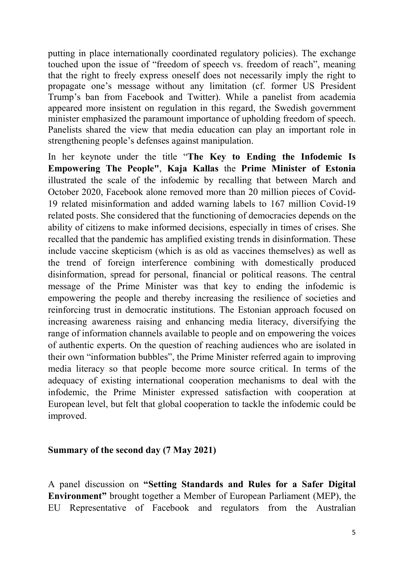putting in place internationally coordinated regulatory policies). The exchange touched upon the issue of "freedom of speech vs. freedom of reach", meaning that the right to freely express oneself does not necessarily imply the right to propagate one's message without any limitation (cf. former US President Trump's ban from Facebook and Twitter). While a panelist from academia appeared more insistent on regulation in this regard, the Swedish government minister emphasized the paramount importance of upholding freedom of speech. Panelists shared the view that media education can play an important role in strengthening people's defenses against manipulation.

In her keynote under the title "The Key to Ending the Infodemic Is Empowering The People", Kaja Kallas the Prime Minister of Estonia illustrated the scale of the infodemic by recalling that between March and October 2020, Facebook alone removed more than 20 million pieces of Covid-19 related misinformation and added warning labels to 167 million Covid-19 related posts. She considered that the functioning of democracies depends on the ability of citizens to make informed decisions, especially in times of crises. She recalled that the pandemic has amplified existing trends in disinformation. These include vaccine skepticism (which is as old as vaccines themselves) as well as the trend of foreign interference combining with domestically produced disinformation, spread for personal, financial or political reasons. The central message of the Prime Minister was that key to ending the infodemic is empowering the people and thereby increasing the resilience of societies and reinforcing trust in democratic institutions. The Estonian approach focused on increasing awareness raising and enhancing media literacy, diversifying the range of information channels available to people and on empowering the voices of authentic experts. On the question of reaching audiences who are isolated in their own "information bubbles", the Prime Minister referred again to improving media literacy so that people become more source critical. In terms of the adequacy of existing international cooperation mechanisms to deal with the infodemic, the Prime Minister expressed satisfaction with cooperation at European level, but felt that global cooperation to tackle the infodemic could be improved.

### Summary of the second day (7 May 2021)

A panel discussion on "Setting Standards and Rules for a Safer Digital Environment" brought together a Member of European Parliament (MEP), the EU Representative of Facebook and regulators from the Australian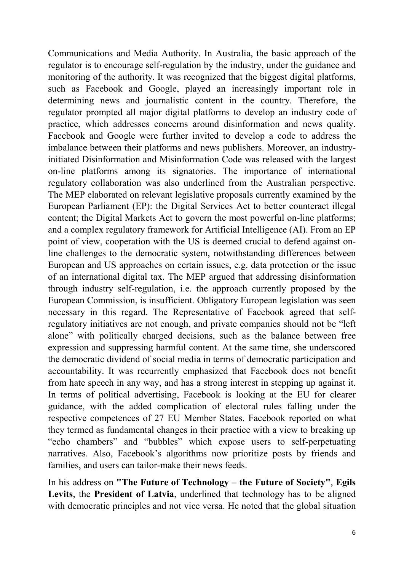Communications and Media Authority. In Australia, the basic approach of the regulator is to encourage self-regulation by the industry, under the guidance and monitoring of the authority. It was recognized that the biggest digital platforms, such as Facebook and Google, played an increasingly important role in determining news and journalistic content in the country. Therefore, the regulator prompted all major digital platforms to develop an industry code of practice, which addresses concerns around disinformation and news quality. Facebook and Google were further invited to develop a code to address the imbalance between their platforms and news publishers. Moreover, an industryinitiated Disinformation and Misinformation Code was released with the largest on-line platforms among its signatories. The importance of international regulatory collaboration was also underlined from the Australian perspective. The MEP elaborated on relevant legislative proposals currently examined by the European Parliament (EP): the Digital Services Act to better counteract illegal content; the Digital Markets Act to govern the most powerful on-line platforms; and a complex regulatory framework for Artificial Intelligence (AI). From an EP point of view, cooperation with the US is deemed crucial to defend against online challenges to the democratic system, notwithstanding differences between European and US approaches on certain issues, e.g. data protection or the issue of an international digital tax. The MEP argued that addressing disinformation through industry self-regulation, i.e. the approach currently proposed by the European Commission, is insufficient. Obligatory European legislation was seen necessary in this regard. The Representative of Facebook agreed that selfregulatory initiatives are not enough, and private companies should not be "left alone" with politically charged decisions, such as the balance between free expression and suppressing harmful content. At the same time, she underscored the democratic dividend of social media in terms of democratic participation and accountability. It was recurrently emphasized that Facebook does not benefit from hate speech in any way, and has a strong interest in stepping up against it. In terms of political advertising, Facebook is looking at the EU for clearer guidance, with the added complication of electoral rules falling under the respective competences of 27 EU Member States. Facebook reported on what they termed as fundamental changes in their practice with a view to breaking up "echo chambers" and "bubbles" which expose users to self-perpetuating narratives. Also, Facebook's algorithms now prioritize posts by friends and families, and users can tailor-make their news feeds.

In his address on "The Future of Technology – the Future of Society", Egils Levits, the President of Latvia, underlined that technology has to be aligned with democratic principles and not vice versa. He noted that the global situation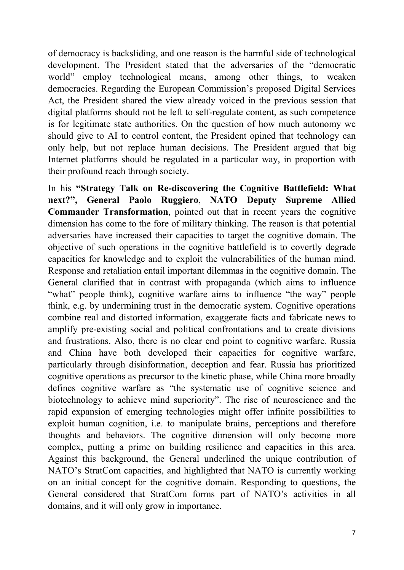of democracy is backsliding, and one reason is the harmful side of technological development. The President stated that the adversaries of the "democratic world" employ technological means, among other things, to weaken democracies. Regarding the European Commission's proposed Digital Services Act, the President shared the view already voiced in the previous session that digital platforms should not be left to self-regulate content, as such competence is for legitimate state authorities. On the question of how much autonomy we should give to AI to control content, the President opined that technology can only help, but not replace human decisions. The President argued that big Internet platforms should be regulated in a particular way, in proportion with their profound reach through society.

In his "Strategy Talk on Re-discovering the Cognitive Battlefield: What next?", General Paolo Ruggiero, NATO Deputy Supreme Allied Commander Transformation, pointed out that in recent years the cognitive dimension has come to the fore of military thinking. The reason is that potential adversaries have increased their capacities to target the cognitive domain. The objective of such operations in the cognitive battlefield is to covertly degrade capacities for knowledge and to exploit the vulnerabilities of the human mind. Response and retaliation entail important dilemmas in the cognitive domain. The General clarified that in contrast with propaganda (which aims to influence "what" people think), cognitive warfare aims to influence "the way" people think, e.g. by undermining trust in the democratic system. Cognitive operations combine real and distorted information, exaggerate facts and fabricate news to amplify pre-existing social and political confrontations and to create divisions and frustrations. Also, there is no clear end point to cognitive warfare. Russia and China have both developed their capacities for cognitive warfare, particularly through disinformation, deception and fear. Russia has prioritized cognitive operations as precursor to the kinetic phase, while China more broadly defines cognitive warfare as "the systematic use of cognitive science and biotechnology to achieve mind superiority". The rise of neuroscience and the rapid expansion of emerging technologies might offer infinite possibilities to exploit human cognition, i.e. to manipulate brains, perceptions and therefore thoughts and behaviors. The cognitive dimension will only become more complex, putting a prime on building resilience and capacities in this area. Against this background, the General underlined the unique contribution of NATO's StratCom capacities, and highlighted that NATO is currently working on an initial concept for the cognitive domain. Responding to questions, the General considered that StratCom forms part of NATO's activities in all domains, and it will only grow in importance.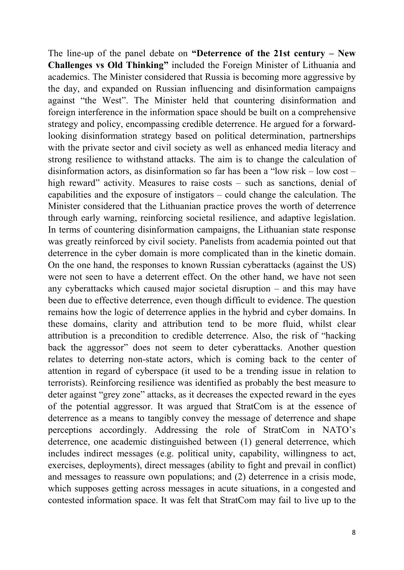The line-up of the panel debate on "Deterrence of the 21st century – New Challenges vs Old Thinking" included the Foreign Minister of Lithuania and academics. The Minister considered that Russia is becoming more aggressive by the day, and expanded on Russian influencing and disinformation campaigns against "the West". The Minister held that countering disinformation and foreign interference in the information space should be built on a comprehensive strategy and policy, encompassing credible deterrence. He argued for a forwardlooking disinformation strategy based on political determination, partnerships with the private sector and civil society as well as enhanced media literacy and strong resilience to withstand attacks. The aim is to change the calculation of disinformation actors, as disinformation so far has been a "low risk – low cost – high reward" activity. Measures to raise costs – such as sanctions, denial of capabilities and the exposure of instigators – could change the calculation. The Minister considered that the Lithuanian practice proves the worth of deterrence through early warning, reinforcing societal resilience, and adaptive legislation. In terms of countering disinformation campaigns, the Lithuanian state response was greatly reinforced by civil society. Panelists from academia pointed out that deterrence in the cyber domain is more complicated than in the kinetic domain. On the one hand, the responses to known Russian cyberattacks (against the US) were not seen to have a deterrent effect. On the other hand, we have not seen any cyberattacks which caused major societal disruption – and this may have been due to effective deterrence, even though difficult to evidence. The question remains how the logic of deterrence applies in the hybrid and cyber domains. In these domains, clarity and attribution tend to be more fluid, whilst clear attribution is a precondition to credible deterrence. Also, the risk of "hacking back the aggressor" does not seem to deter cyberattacks. Another question relates to deterring non-state actors, which is coming back to the center of attention in regard of cyberspace (it used to be a trending issue in relation to terrorists). Reinforcing resilience was identified as probably the best measure to deter against "grey zone" attacks, as it decreases the expected reward in the eyes of the potential aggressor. It was argued that StratCom is at the essence of deterrence as a means to tangibly convey the message of deterrence and shape perceptions accordingly. Addressing the role of StratCom in NATO's deterrence, one academic distinguished between (1) general deterrence, which includes indirect messages (e.g. political unity, capability, willingness to act, exercises, deployments), direct messages (ability to fight and prevail in conflict) and messages to reassure own populations; and (2) deterrence in a crisis mode, which supposes getting across messages in acute situations, in a congested and contested information space. It was felt that StratCom may fail to live up to the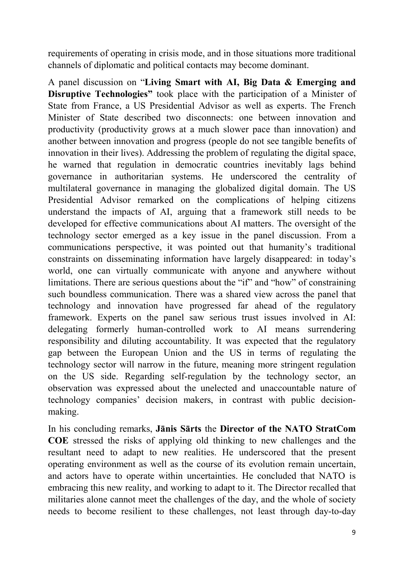requirements of operating in crisis mode, and in those situations more traditional channels of diplomatic and political contacts may become dominant.

A panel discussion on "Living Smart with AI, Big Data & Emerging and Disruptive Technologies" took place with the participation of a Minister of State from France, a US Presidential Advisor as well as experts. The French Minister of State described two disconnects: one between innovation and productivity (productivity grows at a much slower pace than innovation) and another between innovation and progress (people do not see tangible benefits of innovation in their lives). Addressing the problem of regulating the digital space, he warned that regulation in democratic countries inevitably lags behind governance in authoritarian systems. He underscored the centrality of multilateral governance in managing the globalized digital domain. The US Presidential Advisor remarked on the complications of helping citizens understand the impacts of AI, arguing that a framework still needs to be developed for effective communications about AI matters. The oversight of the technology sector emerged as a key issue in the panel discussion. From a communications perspective, it was pointed out that humanity's traditional constraints on disseminating information have largely disappeared: in today's world, one can virtually communicate with anyone and anywhere without limitations. There are serious questions about the "if" and "how" of constraining such boundless communication. There was a shared view across the panel that technology and innovation have progressed far ahead of the regulatory framework. Experts on the panel saw serious trust issues involved in AI: delegating formerly human-controlled work to AI means surrendering responsibility and diluting accountability. It was expected that the regulatory gap between the European Union and the US in terms of regulating the technology sector will narrow in the future, meaning more stringent regulation on the US side. Regarding self-regulation by the technology sector, an observation was expressed about the unelected and unaccountable nature of technology companies' decision makers, in contrast with public decisionmaking.

In his concluding remarks, Jānis Sārts the Director of the NATO StratCom COE stressed the risks of applying old thinking to new challenges and the resultant need to adapt to new realities. He underscored that the present operating environment as well as the course of its evolution remain uncertain, and actors have to operate within uncertainties. He concluded that NATO is embracing this new reality, and working to adapt to it. The Director recalled that militaries alone cannot meet the challenges of the day, and the whole of society needs to become resilient to these challenges, not least through day-to-day